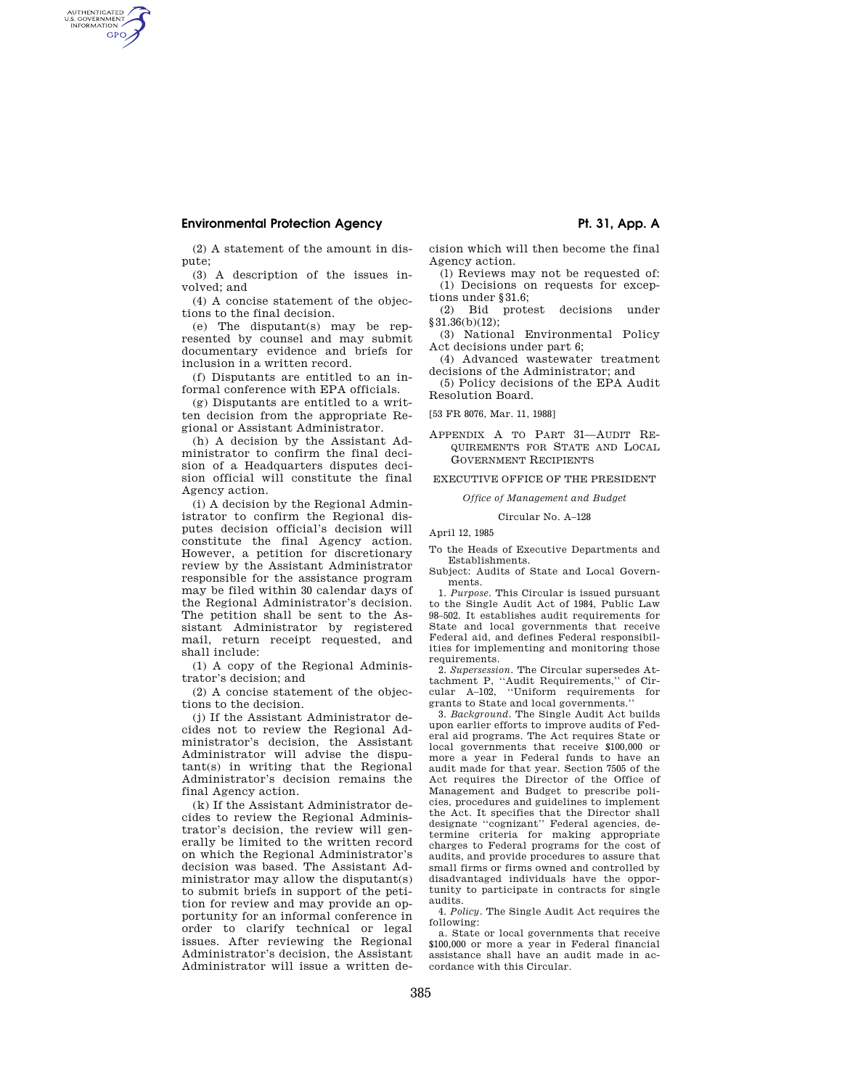## **Environmental Protection Agency**  Pt. 31, App. A

AUTHENTICATED<br>U.S. GOVERNMENT<br>INFORMATION **GPO** 

(2) A statement of the amount in dispute;

(3) A description of the issues involved; and

(4) A concise statement of the objections to the final decision.

(e) The disputant(s) may be represented by counsel and may submit documentary evidence and briefs for inclusion in a written record.

(f) Disputants are entitled to an informal conference with EPA officials.

(g) Disputants are entitled to a written decision from the appropriate Regional or Assistant Administrator.

(h) A decision by the Assistant Administrator to confirm the final decision of a Headquarters disputes decision official will constitute the final Agency action.

(i) A decision by the Regional Administrator to confirm the Regional disputes decision official's decision will constitute the final Agency action. However, a petition for discretionary review by the Assistant Administrator responsible for the assistance program may be filed within 30 calendar days of the Regional Administrator's decision. The petition shall be sent to the Assistant Administrator by registered mail, return receipt requested, and shall include:

(1) A copy of the Regional Administrator's decision; and

(2) A concise statement of the objections to the decision.

(j) If the Assistant Administrator decides not to review the Regional Administrator's decision, the Assistant Administrator will advise the disputant(s) in writing that the Regional Administrator's decision remains the final Agency action.

(k) If the Assistant Administrator decides to review the Regional Administrator's decision, the review will generally be limited to the written record on which the Regional Administrator's decision was based. The Assistant Administrator may allow the disputant(s) to submit briefs in support of the petition for review and may provide an opportunity for an informal conference in order to clarify technical or legal issues. After reviewing the Regional Administrator's decision, the Assistant Administrator will issue a written decision which will then become the final Agency action.

(l) Reviews may not be requested of: (1) Decisions on requests for exceptions under §31.6;

(2) Bid protest decisions under §31.36(b)(12);

(3) National Environmental Policy Act decisions under part 6;

(4) Advanced wastewater treatment decisions of the Administrator; and

(5) Policy decisions of the EPA Audit Resolution Board.

[53 FR 8076, Mar. 11, 1988]

### APPENDIX A TO PART 31—AUDIT RE-QUIREMENTS FOR STATE AND LOCAL GOVERNMENT RECIPIENTS

EXECUTIVE OFFICE OF THE PRESIDENT

*Office of Management and Budget* 

Circular No. A–128

April 12, 1985

To the Heads of Executive Departments and Establishments.

Subject: Audits of State and Local Governments.

1. *Purpose.* This Circular is issued pursuant to the Single Audit Act of 1984, Public Law 98–502. It establishes audit requirements for State and local governments that receive Federal aid, and defines Federal responsibilities for implementing and monitoring those requirements.

2. *Supersession.* The Circular supersedes At-tachment P, ''Audit Requirements,'' of Circular A–102, ''Uniform requirements for grants to State and local governments.''

3. *Background.* The Single Audit Act builds upon earlier efforts to improve audits of Federal aid programs. The Act requires State or local governments that receive \$100,000 or more a year in Federal funds to have an audit made for that year. Section 7505 of the Act requires the Director of the Office of Management and Budget to prescribe policies, procedures and guidelines to implement the Act. It specifies that the Director shall designate ''cognizant'' Federal agencies, determine criteria for making appropriate charges to Federal programs for the cost of audits, and provide procedures to assure that small firms or firms owned and controlled by disadvantaged individuals have the opportunity to participate in contracts for single audits.

4. *Policy.* The Single Audit Act requires the following:

a. State or local governments that receive \$100,000 or more a year in Federal financial assistance shall have an audit made in accordance with this Circular.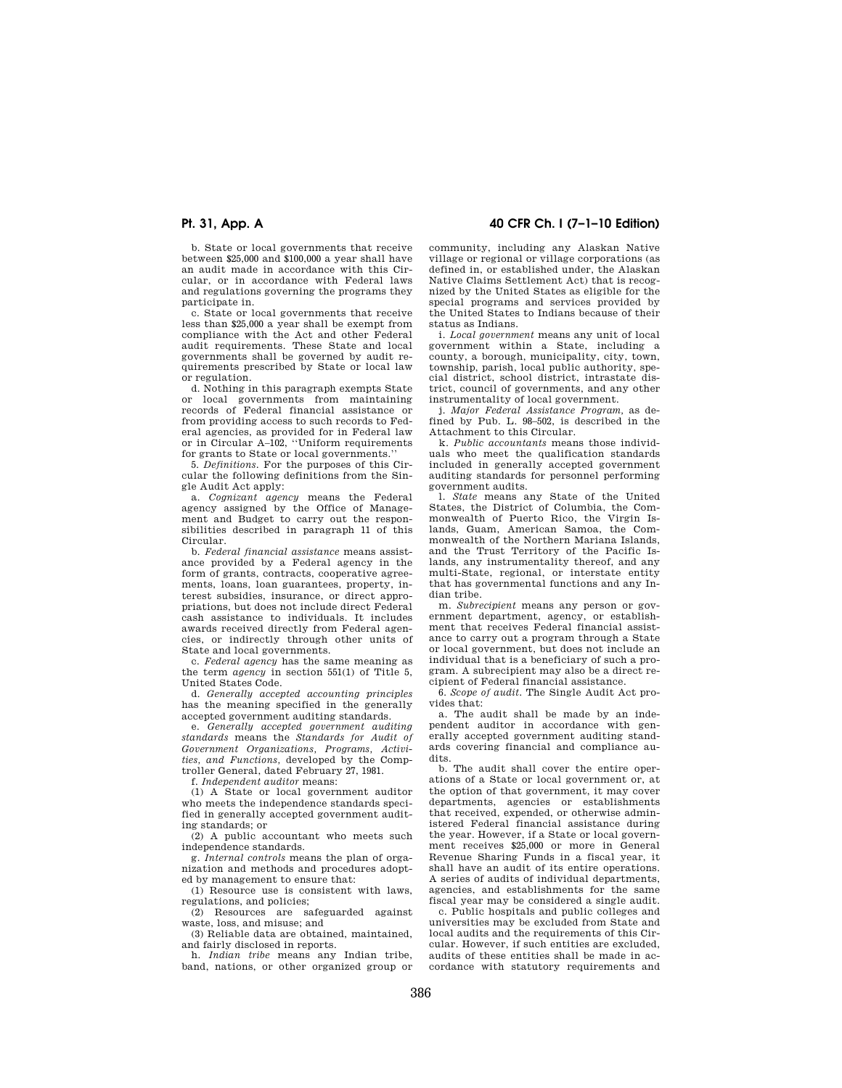b. State or local governments that receive between \$25,000 and \$100,000 a year shall have an audit made in accordance with this Circular, or in accordance with Federal laws and regulations governing the programs they participate in.

c. State or local governments that receive less than \$25,000 a year shall be exempt from compliance with the Act and other Federal audit requirements. These State and local governments shall be governed by audit requirements prescribed by State or local law or regulation.

d. Nothing in this paragraph exempts State or local governments from maintaining records of Federal financial assistance or from providing access to such records to Federal agencies, as provided for in Federal law or in Circular A–102, ''Uniform requirements for grants to State or local governments.''

5. *Definitions.* For the purposes of this Circular the following definitions from the Single Audit Act apply:

a. *Cognizant agency* means the Federal agency assigned by the Office of Management and Budget to carry out the responsibilities described in paragraph 11 of this Circular.

b. *Federal financial assistance* means assistance provided by a Federal agency in the form of grants, contracts, cooperative agreements, loans, loan guarantees, property, interest subsidies, insurance, or direct appropriations, but does not include direct Federal cash assistance to individuals. It includes awards received directly from Federal agencies, or indirectly through other units of State and local governments.

c. *Federal agency* has the same meaning as the term *agency* in section 551(1) of Title 5, United States Code.

d. *Generally accepted accounting principles*  has the meaning specified in the generally accepted government auditing standards.

e. *Generally accepted government auditing standards* means the *Standards for Audit of Government Organizations, Programs, Activities, and Functions,* developed by the Comptroller General, dated February 27, 1981.

f. *Independent auditor* means:

(1) A State or local government auditor who meets the independence standards specified in generally accepted government auditing standards; or

(2) A public accountant who meets such independence standards.

g. *Internal controls* means the plan of organization and methods and procedures adopted by management to ensure that:

(1) Resource use is consistent with laws, regulations, and policies;

(2) Resources are safeguarded against waste, loss, and misuse; and

(3) Reliable data are obtained, maintained, and fairly disclosed in reports.

h. *Indian tribe* means any Indian tribe, band, nations, or other organized group or

## **Pt. 31, App. A 40 CFR Ch. I (7–1–10 Edition)**

community, including any Alaskan Native village or regional or village corporations (as defined in, or established under, the Alaskan Native Claims Settlement Act) that is recognized by the United States as eligible for the special programs and services provided by the United States to Indians because of their status as Indians.

i. *Local government* means any unit of local government within a State, including a county, a borough, municipality, city, town, township, parish, local public authority, special district, school district, intrastate district, council of governments, and any other instrumentality of local government.

j. *Major Federal Assistance Program,* as defined by Pub. L. 98–502, is described in the Attachment to this Circular.

k. *Public accountants* means those individuals who meet the qualification standards included in generally accepted government auditing standards for personnel performing government audits.

l. *State* means any State of the United States, the District of Columbia, the Commonwealth of Puerto Rico, the Virgin Islands, Guam, American Samoa, the Commonwealth of the Northern Mariana Islands, and the Trust Territory of the Pacific Islands, any instrumentality thereof, and any multi-State, regional, or interstate entity that has governmental functions and any Indian tribe.

m. *Subrecipient* means any person or government department, agency, or establishment that receives Federal financial assistance to carry out a program through a State or local government, but does not include an individual that is a beneficiary of such a program. A subrecipient may also be a direct recipient of Federal financial assistance.

6. *Scope of audit.* The Single Audit Act provides that:

a. The audit shall be made by an independent auditor in accordance with generally accepted government auditing standards covering financial and compliance audits.

b. The audit shall cover the entire operations of a State or local government or, at the option of that government, it may cover departments, agencies or establishments that received, expended, or otherwise administered Federal financial assistance during the year. However, if a State or local government receives \$25,000 or more in General Revenue Sharing Funds in a fiscal year, it shall have an audit of its entire operations. A series of audits of individual departments, agencies, and establishments for the same fiscal year may be considered a single audit.

c. Public hospitals and public colleges and universities may be excluded from State and local audits and the requirements of this Circular. However, if such entities are excluded, audits of these entities shall be made in accordance with statutory requirements and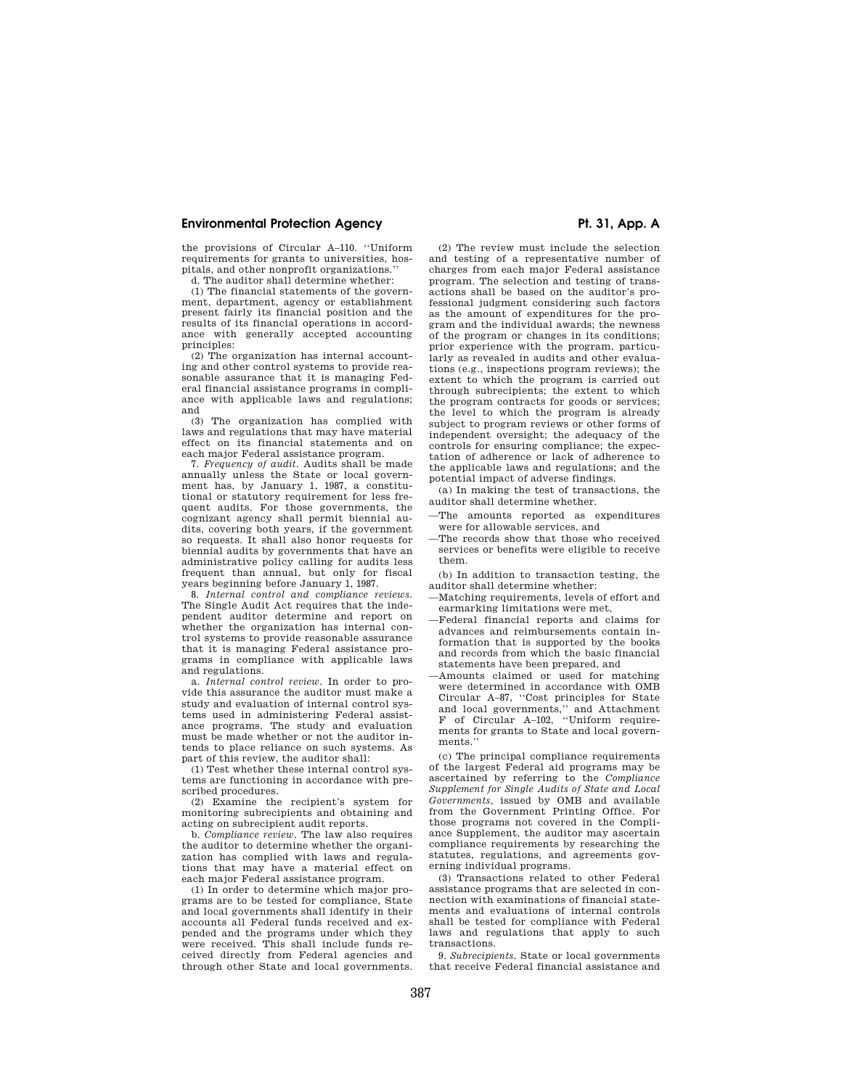## **Environmental Protection Agency**  Pt. 31, App. A

the provisions of Circular A–110. ''Uniform requirements for grants to universities, hospitals, and other nonprofit organizations.''

d. The auditor shall determine whether:

(1) The financial statements of the government, department, agency or establishment present fairly its financial position and the results of its financial operations in accordance with generally accepted accounting principles:

(2) The organization has internal accounting and other control systems to provide reasonable assurance that it is managing Federal financial assistance programs in compliance with applicable laws and regulations; and

(3) The organization has complied with laws and regulations that may have material effect on its financial statements and on each major Federal assistance program.

7. *Frequency of audit.* Audits shall be made annually unless the State or local government has, by January 1, 1987, a constitutional or statutory requirement for less frequent audits. For those governments, the cognizant agency shall permit biennial audits, covering both years, if the government so requests. It shall also honor requests for biennial audits by governments that have an administrative policy calling for audits less frequent than annual, but only for fiscal years beginning before January 1, 1987.

8. *Internal control and compliance reviews.*  The Single Audit Act requires that the independent auditor determine and report on whether the organization has internal control systems to provide reasonable assurance that it is managing Federal assistance programs in compliance with applicable laws and regulations.

a. *Internal control review.* In order to provide this assurance the auditor must make a study and evaluation of internal control systems used in administering Federal assistance programs. The study and evaluation must be made whether or not the auditor intends to place reliance on such systems. As part of this review, the auditor shall:

(1) Test whether these internal control systems are functioning in accordance with prescribed procedures.

(2) Examine the recipient's system for monitoring subrecipients and obtaining and acting on subrecipient audit reports.

b. *Compliance review.* The law also requires the auditor to determine whether the organization has complied with laws and regulations that may have a material effect on each major Federal assistance program.

(1) In order to determine which major programs are to be tested for compliance, State and local governments shall identify in their accounts all Federal funds received and expended and the programs under which they were received. This shall include funds received directly from Federal agencies and through other State and local governments.

(2) The review must include the selection and testing of a representative number of charges from each major Federal assistance program. The selection and testing of transactions shall be based on the auditor's professional judgment considering such factors as the amount of expenditures for the program and the individual awards; the newness of the program or changes in its conditions; prior experience with the program, particularly as revealed in audits and other evaluations (e.g., inspections program reviews); the extent to which the program is carried out through subrecipients; the extent to which the program contracts for goods or services; the level to which the program is already subject to program reviews or other forms of independent oversight; the adequacy of the controls for ensuring compliance; the expectation of adherence or lack of adherence to the applicable laws and regulations; and the potential impact of adverse findings.

(a) In making the test of transactions, the auditor shall determine whether.

- —The amounts reported as expenditures were for allowable services, and
- —The records show that those who received services or benefits were eligible to receive them.

(b) In addition to transaction testing, the auditor shall determine whether:

- —Matching requirements, levels of effort and earmarking limitations were met,
- —Federal financial reports and claims for advances and reimbursements contain information that is supported by the books and records from which the basic financial statements have been prepared, and
- —Amounts claimed or used for matching were determined in accordance with OMB Circular A–87, ''Cost principles for State and local governments,'' and Attachment F of Circular A–102, ''Uniform requirements for grants to State and local governments.

(c) The principal compliance requirements of the largest Federal aid programs may be ascertained by referring to the *Compliance Supplement for Single Audits of State and Local Governments,* issued by OMB and available from the Government Printing Office. For those programs not covered in the Compliance Supplement, the auditor may ascertain compliance requirements by researching the statutes, regulations, and agreements governing individual programs.

(3) Transactions related to other Federal assistance programs that are selected in connection with examinations of financial statements and evaluations of internal controls shall be tested for compliance with Federal laws and regulations that apply to such transactions.

9. *Subrecipients.* State or local governments that receive Federal financial assistance and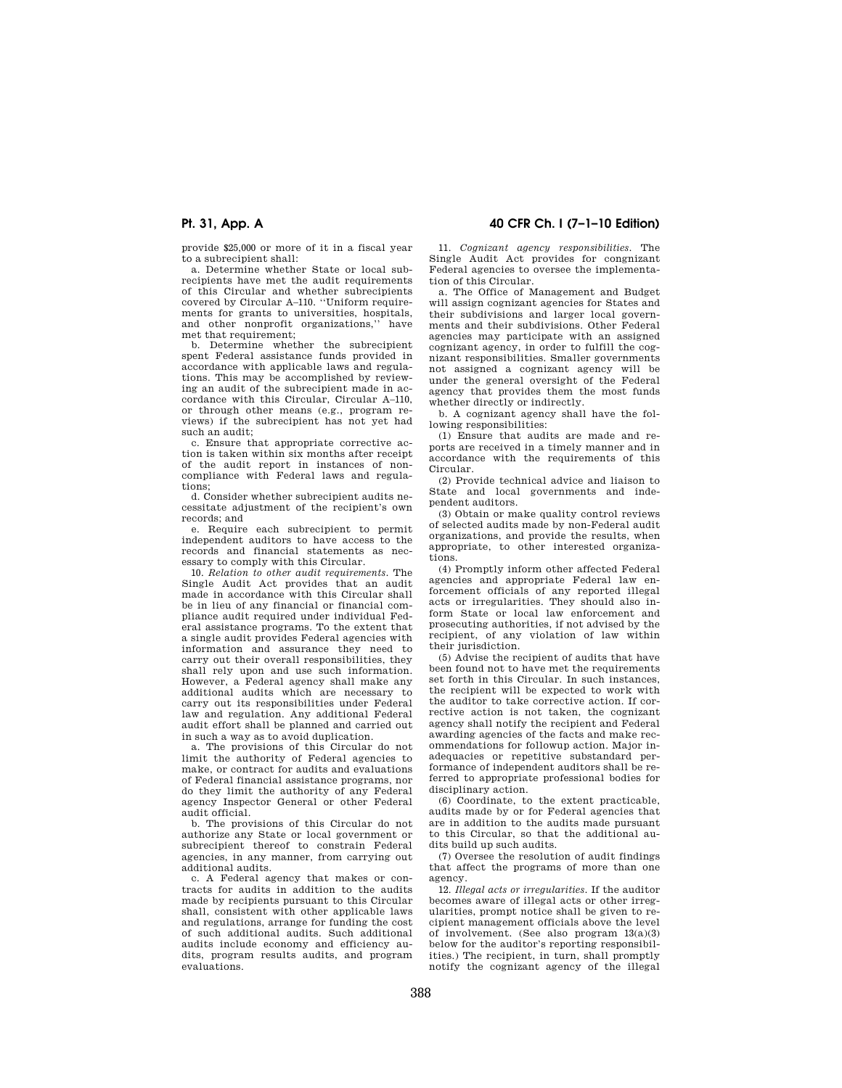provide \$25,000 or more of it in a fiscal year to a subrecipient shall:

a. Determine whether State or local subrecipients have met the audit requirements of this Circular and whether subrecipients covered by Circular A–110. ''Uniform requirements for grants to universities, hospitals, and other nonprofit organizations,'' have met that requirement:

b. Determine whether the subrecipient spent Federal assistance funds provided in accordance with applicable laws and regulations. This may be accomplished by reviewing an audit of the subrecipient made in accordance with this Circular, Circular A–110, or through other means (e.g., program reviews) if the subrecipient has not yet had such an audit;

c. Ensure that appropriate corrective action is taken within six months after receipt of the audit report in instances of noncompliance with Federal laws and regulations;

d. Consider whether subrecipient audits necessitate adjustment of the recipient's own records; and

e. Require each subrecipient to permit independent auditors to have access to the records and financial statements as necessary to comply with this Circular.

10. *Relation to other audit requirements.* The Single Audit Act provides that an audit made in accordance with this Circular shall be in lieu of any financial or financial compliance audit required under individual Federal assistance programs. To the extent that a single audit provides Federal agencies with information and assurance they need to carry out their overall responsibilities, they shall rely upon and use such information. However, a Federal agency shall make any additional audits which are necessary to carry out its responsibilities under Federal law and regulation. Any additional Federal audit effort shall be planned and carried out in such a way as to avoid duplication.

a. The provisions of this Circular do not limit the authority of Federal agencies to make, or contract for audits and evaluations of Federal financial assistance programs, nor do they limit the authority of any Federal agency Inspector General or other Federal audit official.

b. The provisions of this Circular do not authorize any State or local government or subrecipient thereof to constrain Federal agencies, in any manner, from carrying out additional audits.

c. A Federal agency that makes or contracts for audits in addition to the audits made by recipients pursuant to this Circular shall, consistent with other applicable laws and regulations, arrange for funding the cost of such additional audits. Such additional audits include economy and efficiency audits, program results audits, and program evaluations.

## **Pt. 31, App. A 40 CFR Ch. I (7–1–10 Edition)**

11. *Cognizant agency responsibilities.* The Single Audit Act provides for congnizant Federal agencies to oversee the implementation of this Circular.

a. The Office of Management and Budget will assign cognizant agencies for States and their subdivisions and larger local governments and their subdivisions. Other Federal agencies may participate with an assigned cognizant agency, in order to fulfill the cognizant responsibilities. Smaller governments not assigned a cognizant agency will be under the general oversight of the Federal agency that provides them the most funds whether directly or indirectly.

b. A cognizant agency shall have the following responsibilities:

(1) Ensure that audits are made and reports are received in a timely manner and in accordance with the requirements of this Circular.

(2) Provide technical advice and liaison to State and local governments and independent auditors.

(3) Obtain or make quality control reviews of selected audits made by non-Federal audit organizations, and provide the results, when appropriate, to other interested organizations.

(4) Promptly inform other affected Federal agencies and appropriate Federal law enforcement officials of any reported illegal acts or irregularities. They should also inform State or local law enforcement and prosecuting authorities, if not advised by the recipient, of any violation of law within their jurisdiction.

(5) Advise the recipient of audits that have been found not to have met the requirements set forth in this Circular. In such instances, the recipient will be expected to work with the auditor to take corrective action. If corrective action is not taken, the cognizant agency shall notify the recipient and Federal awarding agencies of the facts and make recommendations for followup action. Major inadequacies or repetitive substandard performance of independent auditors shall be referred to appropriate professional bodies for disciplinary action.

(6) Coordinate, to the extent practicable, audits made by or for Federal agencies that are in addition to the audits made pursuant to this Circular, so that the additional audits build up such audits.

(7) Oversee the resolution of audit findings that affect the programs of more than one agency.

12. *Illegal acts or irregularities.* If the auditor becomes aware of illegal acts or other irregularities, prompt notice shall be given to recipient management officials above the level of involvement. (See also program 13(a)(3) below for the auditor's reporting responsibilities.) The recipient, in turn, shall promptly notify the cognizant agency of the illegal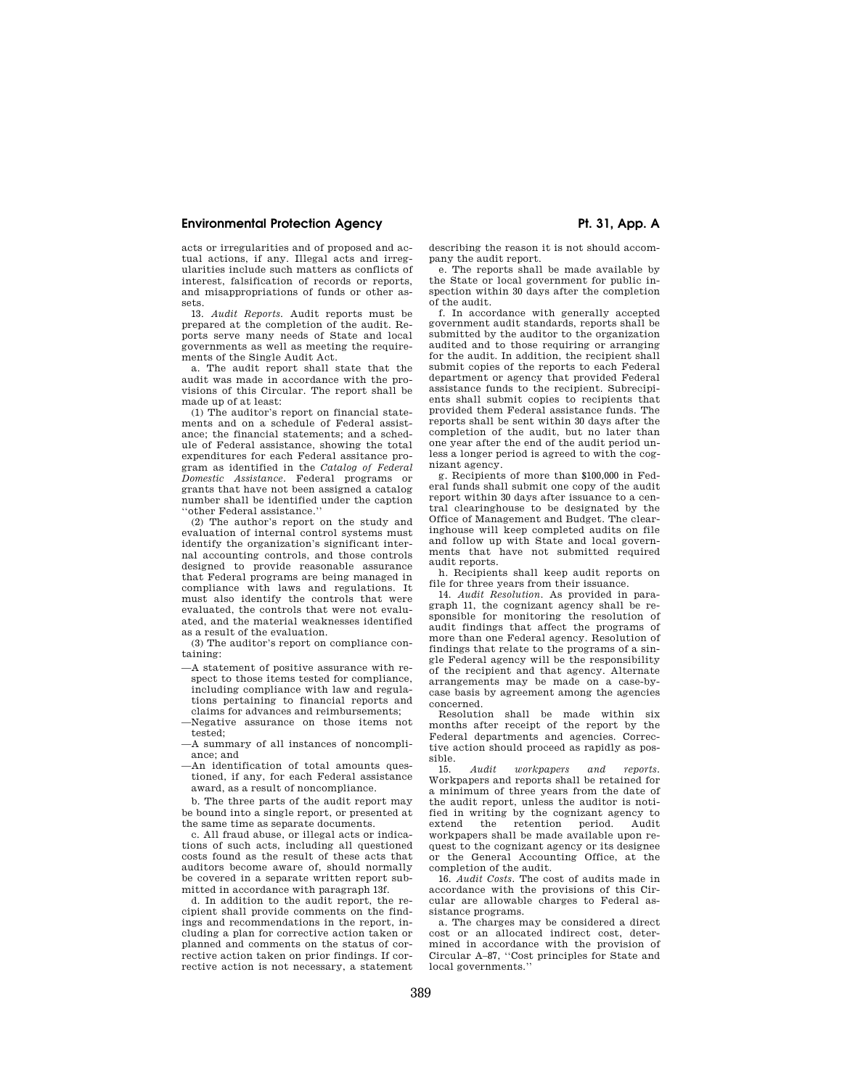## **Environmental Protection Agency**  Pt. 31, App. A

acts or irregularities and of proposed and actual actions, if any. Illegal acts and irregularities include such matters as conflicts of interest, falsification of records or reports, and misappropriations of funds or other assets.

13. *Audit Reports.* Audit reports must be prepared at the completion of the audit. Reports serve many needs of State and local governments as well as meeting the requirements of the Single Audit Act.

a. The audit report shall state that the audit was made in accordance with the provisions of this Circular. The report shall be made up of at least:

(1) The auditor's report on financial statements and on a schedule of Federal assistance; the financial statements; and a schedule of Federal assistance, showing the total expenditures for each Federal assitance program as identified in the *Catalog of Federal Domestic Assistance.* Federal programs or grants that have not been assigned a catalog number shall be identified under the caption ''other Federal assistance.''

(2) The author's report on the study and evaluation of internal control systems must identify the organization's significant internal accounting controls, and those controls designed to provide reasonable assurance that Federal programs are being managed in compliance with laws and regulations. It must also identify the controls that were evaluated, the controls that were not evaluated, and the material weaknesses identified as a result of the evaluation.

(3) The auditor's report on compliance containing:

—A statement of positive assurance with respect to those items tested for compliance, including compliance with law and regulations pertaining to financial reports and claims for advances and reimbursements;

—Negative assurance on those items not tested;

—A summary of all instances of noncompliance; and

—An identification of total amounts questioned, if any, for each Federal assistance award, as a result of noncompliance.

b. The three parts of the audit report may be bound into a single report, or presented at the same time as separate documents.

c. All fraud abuse, or illegal acts or indications of such acts, including all questioned costs found as the result of these acts that auditors become aware of, should normally be covered in a separate written report submitted in accordance with paragraph 13f.

d. In addition to the audit report, the recipient shall provide comments on the findings and recommendations in the report, including a plan for corrective action taken or planned and comments on the status of corrective action taken on prior findings. If corrective action is not necessary, a statement describing the reason it is not should accompany the audit report.

e. The reports shall be made available by the State or local government for public inspection within 30 days after the completion of the audit.

f. In accordance with generally accepted government audit standards, reports shall be submitted by the auditor to the organization audited and to those requiring or arranging for the audit. In addition, the recipient shall submit copies of the reports to each Federal department or agency that provided Federal assistance funds to the recipient. Subrecipients shall submit copies to recipients that provided them Federal assistance funds. The reports shall be sent within 30 days after the completion of the audit, but no later than one year after the end of the audit period unless a longer period is agreed to with the cognizant agency.

g. Recipients of more than \$100,000 in Federal funds shall submit one copy of the audit report within 30 days after issuance to a central clearinghouse to be designated by the Office of Management and Budget. The clearinghouse will keep completed audits on file and follow up with State and local governments that have not submitted required audit reports.

h. Recipients shall keep audit reports on file for three years from their issuance.

14. *Audit Resolution.* As provided in paragraph 11, the cognizant agency shall be responsible for monitoring the resolution of audit findings that affect the programs of more than one Federal agency. Resolution of findings that relate to the programs of a single Federal agency will be the responsibility of the recipient and that agency. Alternate arrangements may be made on a case-bycase basis by agreement among the agencies concerned.

Resolution shall be made within six months after receipt of the report by the Federal departments and agencies. Corrective action should proceed as rapidly as pos- $\frac{\text{sible.}}{15}$ 

15. *Audit workpapers and reports.*  Workpapers and reports shall be retained for a minimum of three years from the date of the audit report, unless the auditor is notified in writing by the cognizant agency to extend the retention period. Audit workpapers shall be made available upon request to the cognizant agency or its designee or the General Accounting Office, at the completion of the audit.

16. *Audit Costs.* The cost of audits made in accordance with the provisions of this Circular are allowable charges to Federal assistance programs.

a. The charges may be considered a direct cost or an allocated indirect cost, determined in accordance with the provision of Circular A–87, ''Cost principles for State and local governments.''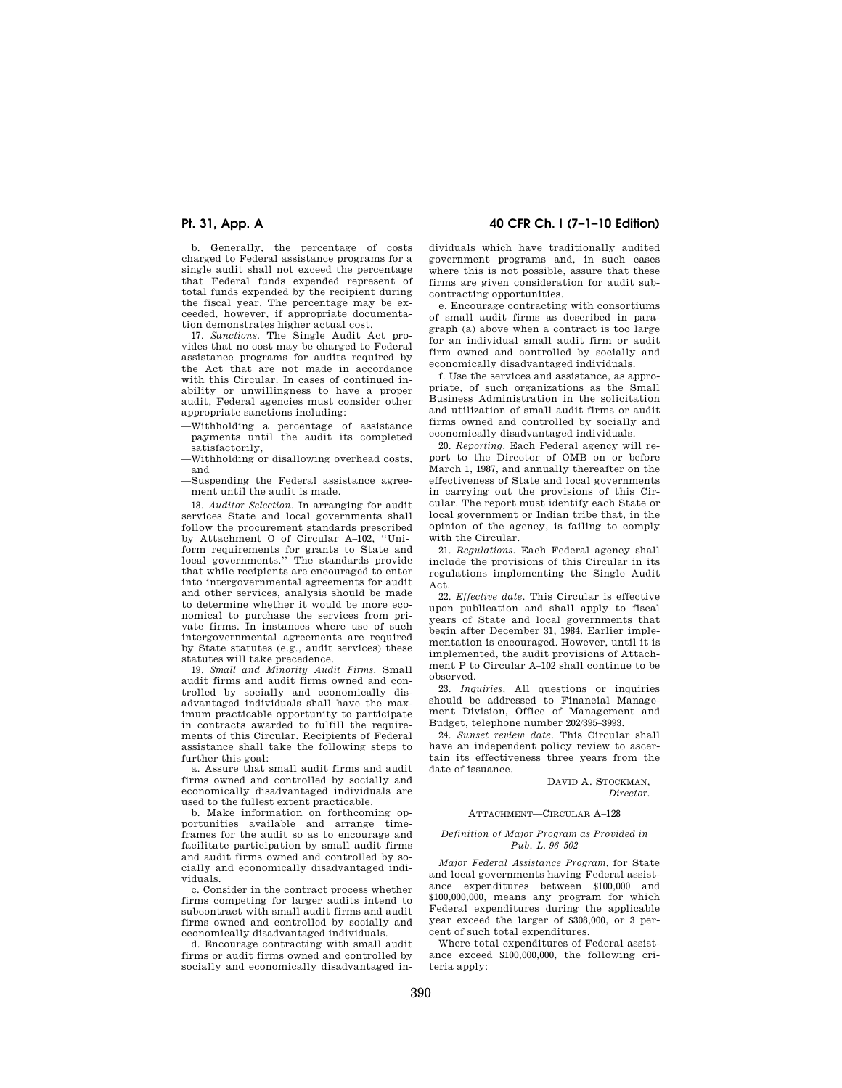b. Generally, the percentage of costs charged to Federal assistance programs for a single audit shall not exceed the percentage that Federal funds expended represent of total funds expended by the recipient during the fiscal year. The percentage may be exceeded, however, if appropriate documentation demonstrates higher actual cost.

17. *Sanctions.* The Single Audit Act provides that no cost may be charged to Federal assistance programs for audits required by the Act that are not made in accordance with this Circular. In cases of continued inability or unwillingness to have a proper audit, Federal agencies must consider other appropriate sanctions including:

- —Withholding a percentage of assistance payments until the audit its completed satisfactorily,
- —Withholding or disallowing overhead costs, and
- —Suspending the Federal assistance agreement until the audit is made.

18. *Auditor Selection.* In arranging for audit services State and local governments shall follow the procurement standards prescribed by Attachment O of Circular A–102, ''Uniform requirements for grants to State and local governments.'' The standards provide that while recipients are encouraged to enter into intergovernmental agreements for audit and other services, analysis should be made to determine whether it would be more economical to purchase the services from private firms. In instances where use of such intergovernmental agreements are required by State statutes (e.g., audit services) these statutes will take precedence.

19. *Small and Minority Audit Firms.* Small audit firms and audit firms owned and controlled by socially and economically disadvantaged individuals shall have the maximum practicable opportunity to participate in contracts awarded to fulfill the requirements of this Circular. Recipients of Federal assistance shall take the following steps to further this goal:

a. Assure that small audit firms and audit firms owned and controlled by socially and economically disadvantaged individuals are used to the fullest extent practicable.

b. Make information on forthcoming opportunities available and arrange timeframes for the audit so as to encourage and facilitate participation by small audit firms and audit firms owned and controlled by socially and economically disadvantaged individuals.

c. Consider in the contract process whether firms competing for larger audits intend to subcontract with small audit firms and audit firms owned and controlled by socially and economically disadvantaged individuals.

d. Encourage contracting with small audit firms or audit firms owned and controlled by socially and economically disadvantaged in-

**Pt. 31, App. A 40 CFR Ch. I (7–1–10 Edition)** 

dividuals which have traditionally audited government programs and, in such cases where this is not possible, assure that these firms are given consideration for audit subcontracting opportunities.

e. Encourage contracting with consortiums of small audit firms as described in paragraph (a) above when a contract is too large for an individual small audit firm or audit firm owned and controlled by socially and economically disadvantaged individuals.

f. Use the services and assistance, as appropriate, of such organizations as the Small Business Administration in the solicitation and utilization of small audit firms or audit firms owned and controlled by socially and economically disadvantaged individuals.

20. *Reporting.* Each Federal agency will report to the Director of OMB on or before March 1, 1987, and annually thereafter on the effectiveness of State and local governments in carrying out the provisions of this Circular. The report must identify each State or local government or Indian tribe that, in the opinion of the agency, is failing to comply with the Circular.

21. *Regulations.* Each Federal agency shall include the provisions of this Circular in its regulations implementing the Single Audit Act.

22. *Effective date.* This Circular is effective upon publication and shall apply to fiscal years of State and local governments that begin after December 31, 1984. Earlier implementation is encouraged. However, until it is implemented, the audit provisions of Attachment P to Circular A–102 shall continue to be observed.

23. *Inquiries,* All questions or inquiries should be addressed to Financial Management Division, Office of Management and Budget, telephone number 202/395–3993.

24. *Sunset review date.* This Circular shall have an independent policy review to ascertain its effectiveness three years from the date of issuance.

> DAVID A. STOCKMAN, *Director.*

### ATTACHMENT—CIRCULAR A–128

### *Definition of Major Program as Provided in Pub. L. 96–502*

*Major Federal Assistance Program,* for State and local governments having Federal assistance expenditures between \$100,000 and \$100,000,000, means any program for which Federal expenditures during the applicable year exceed the larger of \$308,000, or 3 percent of such total expenditures.

Where total expenditures of Federal assistance exceed \$100,000,000, the following criteria apply: